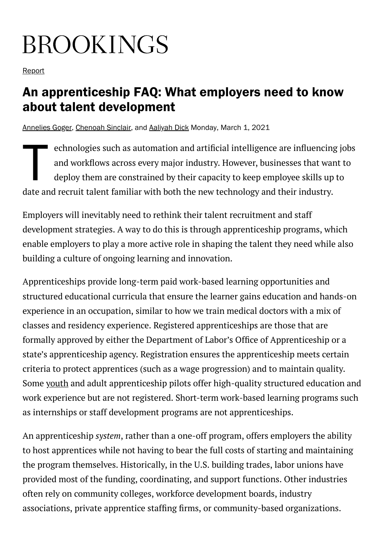# **BROOKINGS**

**[Report](https://www.brookings.edu/search/?post_type=research)** 

# An apprenticeship FAQ: What employers need to know about talent development

[Annelies Goger,](https://www.brookings.edu/experts/annelies-goger/) [Chenoah Sinclair](https://www.brookings.edu/author/chenoah-sinclair/), and [Aaliyah Dick](https://www.brookings.edu/author/aaliyah-dick/) Monday, March 1, 2021

 $\begin{array}{c}\n\epsilon \\
\epsilon \\
\epsilon\n\end{array}$ echnologies such as automation and artificial intelligence are influencing jobs and workflows across every major industry. However, businesses that want to deploy them are constrained by their capacity to keep employee skills up to date and recruit talent familiar with both the new technology and their industry.

Employers will inevitably need to rethink their talent recruitment and staff development strategies. A way to do this is through apprenticeship programs, which enable employers to play a more active role in shaping the talent they need while also building a culture of ongoing learning and innovation.

Apprenticeships provide long-term paid work-based learning opportunities and structured educational curricula that ensure the learner gains education and hands-on experience in an occupation, similar to how we train medical doctors with a mix of classes and residency experience. Registered apprenticeships are those that are formally approved by either the Department of Labor's Office of Apprenticeship or a state's apprenticeship agency. Registration ensures the apprenticeship meets certain criteria to protect apprentices (such as a wage progression) and to maintain quality. Some [youth](https://www.newamerica.org/education-policy/edcentral/youth-apprenticeship-definition-and-guiding-principles/) and adult apprenticeship pilots offer high-quality structured education and work experience but are not registered. Short-term work-based learning programs such as internships or staff development programs are not apprenticeships.

An apprenticeship *system*, rather than a one-off program, offers employers the ability to host apprentices while not having to bear the full costs of starting and maintaining the program themselves. Historically, in the U.S. building trades, labor unions have provided most of the funding, coordinating, and support functions. Other industries often rely on community colleges, workforce development boards, industry associations, private apprentice staffing firms, or community-based organizations.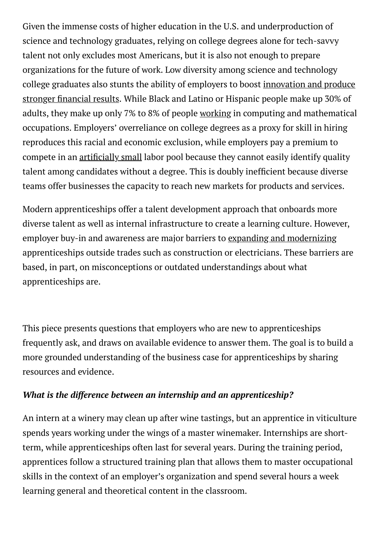Given the immense costs of higher education in the U.S. and underproduction of science and technology graduates, relying on college degrees alone for tech-savvy talent not only excludes most Americans, but it is also not enough to prepare organizations for the future of work. Low diversity among science and technology college graduates also stunts the ability of employers to boost [innovation](https://www.forbes.com/sites/forbesinsights/2020/01/15/diversity-confirmed-to-boost-innovation-and-financial-results/?sh=36ef3f71c4a6) and produce stronger financial results. While Black and Latino or Hispanic people make up 30% of adults, they make up only 7% to 8% of people [working](https://leakytechpipeline.com/wp-content/themes/kapor/pdf/KC18001_report_v6.pdf) in computing and mathematical occupations. Employers' overreliance on college degrees as a proxy for skill in hiring reproduces this racial and economic exclusion, while employers pay a premium to compete in an artificially small labor pool because they cannot easily identify quality talent among candidates without a degree. This is doubly inefficient because diverse teams offer businesses the capacity to reach new markets for products and services.

Modern apprenticeships offer a talent development approach that onboards more diverse talent as well as internal infrastructure to create a learning culture. However, employer buy-in and awareness are major barriers to expanding and [modernizing](https://www.brookings.edu/blog/the-avenue/2021/01/27/apprenticeships-are-an-overlooked-solution-for-creating-more-access-to-quality-jobs/) apprenticeships outside trades such as construction or electricians. These barriers are based, in part, on misconceptions or outdated understandings about what apprenticeships are.

This piece presents questions that employers who are new to apprenticeships frequently ask, and draws on available evidence to answer them. The goal is to build a more grounded understanding of the business case for apprenticeships by sharing resources and evidence.

#### *What is the difference between an internship and an apprenticeship?*

An intern at a winery may clean up after wine tastings, but an apprentice in viticulture spends years working under the wings of a master winemaker. Internships are shortterm, while apprenticeships often last for several years. During the training period, apprentices follow a structured training plan that allows them to master occupational skills in the context of an employer's organization and spend several hours a week learning general and theoretical content in the classroom.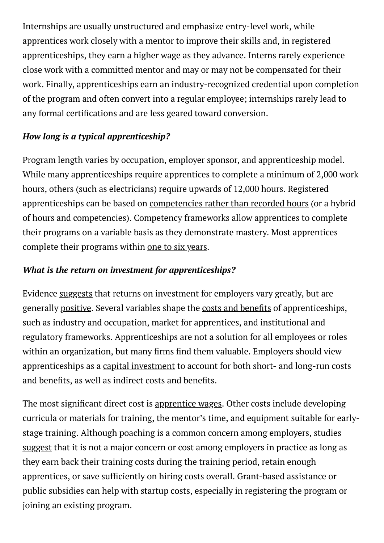Internships are usually unstructured and emphasize entry-level work, while apprentices work closely with a mentor to improve their skills and, in registered apprenticeships, they earn a higher wage as they advance. Interns rarely experience close work with a committed mentor and may or may not be compensated for their work. Finally, apprenticeships earn an industry-recognized credential upon completion of the program and often convert into a regular employee; internships rarely lead to any formal certifications and are less geared toward conversion.

#### *How long is a typical apprenticeship?*

Program length varies by occupation, employer sponsor, and apprenticeship model. While many apprenticeships require apprentices to complete a minimum of 2,000 work hours, others (such as electricians) require upwards of 12,000 hours. Registered apprenticeships can be based on [competencies](https://www.urban.org/sites/default/files/2020/09/25/cbof-op.pdf) rather than recorded hours (or a hybrid of hours and competencies). Competency frameworks allow apprentices to complete their programs on a variable basis as they demonstrate mastery. Most apprentices complete their programs within one to six [years](https://www.bls.gov/careeroutlook/2017/article/apprenticeships_occupations-and-outlook.htm#:~:text=Formal%20apprenticeship%20programs%20usually%20last,Department%20of%20Labor%20(DOL).).

#### *What is the return on investment for apprenticeships?*

Evidence [suggests](https://eric.ed.gov/?id=ED572260) that returns on investment for employers vary greatly, but are generally [positive.](https://link.springer.com/chapter/10.1007/978-90-481-3116-7_15) Several variables shape the costs and benefits of apprenticeships, such as industry and occupation, market for apprentices, and institutional and regulatory frameworks. Apprenticeships are not a solution for all employees or roles within an organization, but many firms find them valuable. Employers should view apprenticeships as a capital [investment](https://wol.iza.org/articles/do-firms-benefit-from-apprenticeship-investments/long) to account for both short- and long-run costs and benefits, as well as indirect costs and benefits.

The most significant direct cost is [apprentice](https://eric.ed.gov/?id=ED572260) wages. Other costs include developing curricula or materials for training, the mentor's time, and equipment suitable for earlystage training. Although poaching is a common concern among employers, studies [suggest](https://eric.ed.gov/?id=ED572260) that it is not a major concern or cost among employers in practice as long as they earn back their training costs during the training period, retain enough apprentices, or save sufficiently on hiring costs overall. Grant-based assistance or public subsidies can help with startup costs, especially in registering the program or joining an existing program.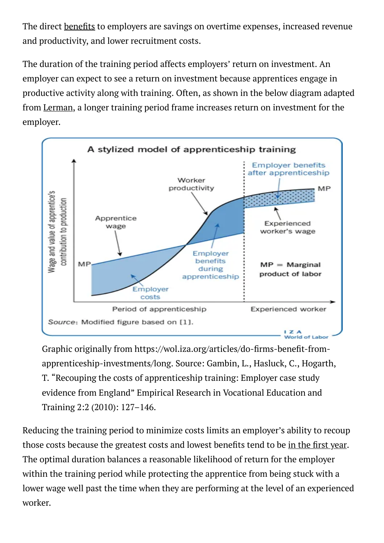The direct benefits to employers are savings on overtime expenses, increased revenue and productivity, and lower recruitment costs.

The duration of the training period affects employers' return on investment. An employer can expect to see a return on investment because apprentices engage in productive activity along with training. Often, as shown in the below diagram adapted from [Lerman](https://wol.iza.org/articles/do-firms-benefit-from-apprenticeship-investments/long), a longer training period frame increases return on investment for the employer.



Graphic originally from https://wol.iza.org/articles/do-firms-benefit-fromapprenticeship-investments/long. Source: Gambin, L., Hasluck, C., Hogarth, T. "Recouping the costs of apprenticeship training: Employer case study evidence from England" Empirical Research in Vocational Education and Training 2:2 (2010): 127–146.

Reducing the training period to minimize costs limits an employer's ability to recoup those costs because the greatest costs and lowest benefits tend to be in the first [year.](https://wol.iza.org/articles/do-firms-benefit-from-apprenticeship-investments/long) The optimal duration balances a reasonable likelihood of return for the employer within the training period while protecting the apprentice from being stuck with a lower wage well past the time when they are performing at the level of an experienced worker.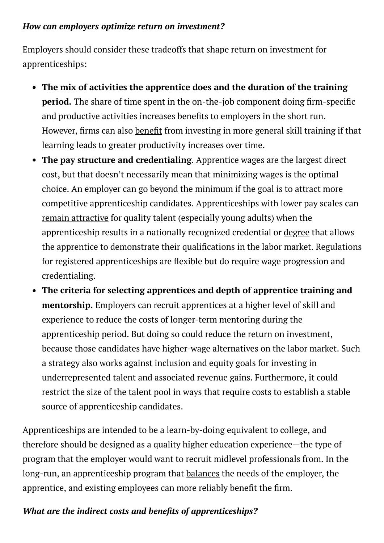#### *How can employers optimize return on investment?*

Employers should consider these tradeoffs that shape return on investment for apprenticeships:

- **The mix of activities the apprentice does and the duration of the training period.** The share of time spent in the on-the-job component doing firm-specific and productive activities increases benefits to employers in the short run. However, firms can also benefit from investing in more general skill training if that learning leads to greater productivity increases over time.
- **The pay structure and credentialing**. Apprentice wages are the largest direct cost, but that doesn't necessarily mean that minimizing wages is the optimal choice. An employer can go beyond the minimum if the goal is to attract more competitive apprenticeship candidates. Apprenticeships with lower pay scales can remain [attractive](https://izajolp.springeropen.com/articles/10.1186/2193-9004-3-25) for quality talent (especially young adults) when the apprenticeship results in a nationally recognized credential or [degree](https://www.newamerica.org/education-policy/reports/creating-pathways-postsecondary-credentials-through-apprenticeships/) that allows the apprentice to demonstrate their qualifications in the labor market. Regulations for registered apprenticeships are flexible but do require wage progression and credentialing.
- **The criteria for selecting apprentices and depth of apprentice training and mentorship.** Employers can recruit apprentices at a higher level of skill and experience to reduce the costs of longer-term mentoring during the apprenticeship period. But doing so could reduce the return on investment, because those candidates have higher-wage alternatives on the labor market. Such a strategy also works against inclusion and equity goals for investing in underrepresented talent and associated revenue gains. Furthermore, it could restrict the size of the talent pool in ways that require costs to establish a stable source of apprenticeship candidates.

Apprenticeships are intended to be a learn-by-doing equivalent to college, and therefore should be designed as a quality higher education experience—the type of program that the employer would want to recruit midlevel professionals from. In the long-run, an apprenticeship program that [balances](https://eric.ed.gov/?id=ED572260) the needs of the employer, the apprentice, and existing employees can more reliably benefit the firm.

### *What are the indirect costs and benets of apprenticeships?*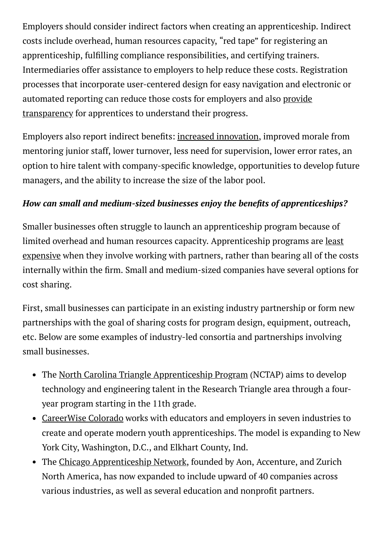Employers should consider indirect factors when creating an apprenticeship. Indirect costs include overhead, human resources capacity, "red tape" for registering an apprenticeship, fulfilling compliance responsibilities, and certifying trainers. Intermediaries offer assistance to employers to help reduce these costs. Registration processes that incorporate user-centered design for easy navigation and electronic or automated reporting can reduce those costs for employers and also provide [transparency](https://repository.jisc.ac.uk/6518/1/Nova_Training_case_study.pdf) for apprentices to understand their progress.

Employers also report indirect benefits: increased [innovation](https://link.springer.com/article/10.1007/s11573-018-0924-6), improved morale from mentoring junior staff, lower turnover, less need for supervision, lower error rates, an option to hire talent with company-specific knowledge, opportunities to develop future managers, and the ability to increase the size of the labor pool.

#### *How* can small and medium-sized businesses enjoy the benefits of apprenticeships?

Smaller businesses often struggle to launch an apprenticeship program because of limited overhead and human resources capacity. [Apprenticeship](https://eric.ed.gov/?id=ED572260) programs are least expensive when they involve working with partners, rather than bearing all of the costs internally within the firm. Small and medium-sized companies have several options for cost sharing.

First, small businesses can participate in an existing industry partnership or form new partnerships with the goal of sharing costs for program design, equipment, outreach, etc. Below are some examples of industry-led consortia and partnerships involving small businesses.

- The North Carolina Triangle [Apprenticeship](https://nctap.org/) Program (NCTAP) aims to develop technology and engineering talent in the Research Triangle area through a fouryear program starting in the 11th grade.
- [CareerWise](https://www.careerwisecolorado.org/en/) Colorado works with educators and employers in seven industries to create and operate modern youth apprenticeships. The model is expanding to New York City, Washington, D.C., and Elkhart County, Ind.
- The Chicago [Apprenticeship](https://www.chicagoapprenticenetwork.org/#/) Network, founded by Aon, Accenture, and Zurich North America, has now expanded to include upward of 40 companies across various industries, as well as several education and nonprofit partners.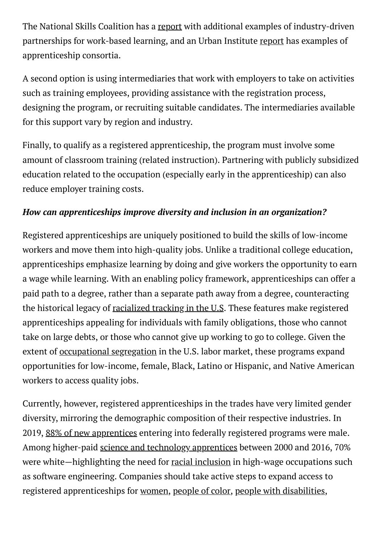The National Skills Coalition has a [report](https://www.nationalskillscoalition.org/resource/publications/partnering-up-how-industry-partnerships-can-bring-work-based-learning-to-scale/) with additional examples of industry-driven partnerships for work-based learning, and an Urban Institute [report](https://www.urban.org/sites/default/files/publication/103591/building-sustainable-apprenticeships-the-case-of-apprenticeship-2000_0.pdf) has examples of apprenticeship consortia.

A second option is using intermediaries that work with employers to take on activities such as training employees, providing assistance with the registration process, designing the program, or recruiting suitable candidates. The intermediaries available for this support vary by region and industry.

Finally, to qualify as a registered apprenticeship, the program must involve some amount of classroom training (related instruction). Partnering with publicly subsidized education related to the occupation (especially early in the apprenticeship) can also reduce employer training costs.

#### *How can apprenticeships improve diversity and inclusion in an organization?*

Registered apprenticeships are uniquely positioned to build the skills of low-income workers and move them into high-quality jobs. Unlike a traditional college education, apprenticeships emphasize learning by doing and give workers the opportunity to earn a wage while learning. With an enabling policy framework, apprenticeships can offer a paid path to a degree, rather than a separate path away from a degree, counteracting the historical legacy of [racialized](https://www.brookings.edu/research/desegregating-work-and-learning/) tracking in the U.S. These features make registered apprenticeships appealing for individuals with family obligations, those who cannot take on large debts, or those who cannot give up working to go to college. Given the extent of [occupational](https://equitablegrowth.org/fact-sheet-occupational-segregation-in-the-united-states/) segregation in the U.S. labor market, these programs expand opportunities for low-income, female, Black, Latino or Hispanic, and Native American workers to access quality jobs.

Currently, however, registered apprenticeships in the trades have very limited gender diversity, mirroring the demographic composition of their respective industries. In 2019, 88% of new [apprentices](https://www.dol.gov/agencies/eta/apprenticeship/about/statistics) entering into federally registered programs were male. Among higher-paid science and technology [apprentices](https://www.urban.org/sites/default/files/publication/100390/registered_apprenticeship_in_science_and_engineering.pdf) between 2000 and 2016, 70% were white—highlighting the need for racial [inclusion](https://nam10.safelinks.protection.outlook.com/?url=https%3A%2F%2Fmedium.com%2Fkapor-the-bridge%2Fthe-urgent-need-for-racially-inclusive-tech-apprenticeship-in-the-covid-economic-recovery-a982a7897472&data=04%7C01%7CAGoger%40brookings.edu%7C608ed2dd408d40e5154e08d8da131895%7C0a02388e617845139b8288b9dc6bf457%7C1%7C0%7C637499122864179451%7CUnknown%7CTWFpbGZsb3d8eyJWIjoiMC4wLjAwMDAiLCJQIjoiV2luMzIiLCJBTiI6Ik1haWwiLCJXVCI6Mn0%3D%7C1000&sdata=M7UkqG0mdag5Sq2%2F%2F4Gib7AffAQQgQsN1rbIF0%2BXP18%3D&reserved=0) in high-wage occupations such as software engineering. Companies should take active steps to expand access to registered apprenticeships for [women](https://www.jff.org/resources/women-skilled-manufacturing-apprenticeships-careers-introduction-equity-and-inclusion/), [people](https://www.apprenticeship.gov/employers/diversity-and-inclusion-apprenticeship) of color, people with [disabilities,](https://inclusiveapprenticeship.org/)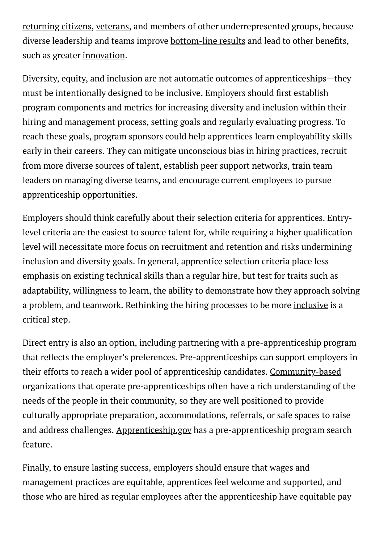[returning](https://slack.com/blog/news/next-chapter-a-pilot-program-aiming-to-help-formerly-incarcerated-individuals-find-work-and-succeed-in-tech) citizens, [veterans](https://www.apprenticeship.gov/employers/hire-veterans), and members of other underrepresented groups, because diverse leadership and teams improve [bottom-line](https://www.mckinsey.com/business-functions/organization/our-insights/why-diversity-matters) results and lead to other benefits, such as greater [innovation.](https://www.tandfonline.com/doi/abs/10.1111/ecge.12016)

Diversity, equity, and inclusion are not automatic outcomes of apprenticeships—they must be intentionally designed to be inclusive. Employers should first establish program components and metrics for increasing diversity and inclusion within their hiring and management process, setting goals and regularly evaluating progress. To reach these goals, program sponsors could help apprentices learn employability skills early in their careers. They can mitigate unconscious bias in hiring practices, recruit from more diverse sources of talent, establish peer support networks, train team leaders on managing diverse teams, and encourage current employees to pursue apprenticeship opportunities.

Employers should think carefully about their selection criteria for apprentices. Entrylevel criteria are the easiest to source talent for, while requiring a higher qualification level will necessitate more focus on recruitment and retention and risks undermining inclusion and diversity goals. In general, apprentice selection criteria place less emphasis on existing technical skills than a regular hire, but test for traits such as adaptability, willingness to learn, the ability to demonstrate how they approach solving a problem, and teamwork. Rethinking the hiring processes to be more [inclusive](https://projectinclude.org/hiring) is a critical step.

Direct entry is also an option, including partnering with a pre-apprenticeship program that reflects the employer's preferences. Pre-apprenticeships can support employers in their efforts to reach a wider pool of apprenticeship candidates. Community-based organizations that operate [pre-apprenticeships](https://www.jff.org/resources/connecting-apprenticeships-young-people-who-need-them-most-role-community-based-organizations/) often have a rich understanding of the needs of the people in their community, so they are well positioned to provide culturally appropriate preparation, accommodations, referrals, or safe spaces to raise and address challenges. [Apprenticeship.gov](https://www.apprenticeship.gov/) has a pre-apprenticeship program search feature.

Finally, to ensure lasting success, employers should ensure that wages and management practices are equitable, apprentices feel welcome and supported, and those who are hired as regular employees after the apprenticeship have equitable pay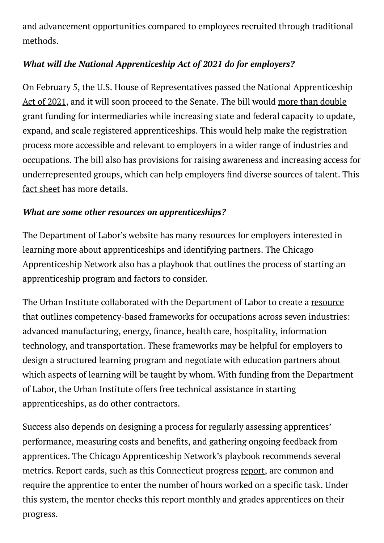and advancement opportunities compared to employees recruited through traditional methods.

#### *What will the National Apprenticeship Act of 2021 do for employers?*

On February 5, the U.S. House of [Representatives](https://www.congress.gov/117/bills/hr447/BILLS-117hr447ih.pdf) passed the National Apprenticeship Act of 2021, and it will soon proceed to the Senate. The bill would more than [double](https://www.brookings.edu/blog/the-avenue/2021/01/27/apprenticeships-are-an-overlooked-solution-for-creating-more-access-to-quality-jobs/) grant funding for intermediaries while increasing state and federal capacity to update, expand, and scale registered apprenticeships. This would help make the registration process more accessible and relevant to employers in a wider range of industries and occupations. The bill also has provisions for raising awareness and increasing access for underrepresented groups, which can help employers find diverse sources of talent. This fact [sheet](https://edlabor.house.gov/imo/media/doc/2021-01-25%20National%20Apprenticeship%20Reauthorization%20Fact%20Sheet.pdf) has more details.

#### *What are some other resources on apprenticeships?*

The Department of Labor's [website](https://www.dol.gov/agencies/eta/apprenticeship) has many resources for employers interested in learning more about apprenticeships and identifying partners. The Chicago Apprenticeship Network also has a [playbook](https://www.illinoisworknet.com/DownloadPrint/Chicago-ApprenticeNetwork_BridgingtheGap_Digital_Final.pdf) that outlines the process of starting an apprenticeship program and factors to consider.

The Urban Institute collaborated with the Department of Labor to create a [resource](https://www.urban.org/policy-centers/center-labor-human-services-and-population/projects/competency-based-occupational-frameworks-registered-apprenticeships) that outlines competency-based frameworks for occupations across seven industries: advanced manufacturing, energy, finance, health care, hospitality, information technology, and transportation. These frameworks may be helpful for employers to design a structured learning program and negotiate with education partners about which aspects of learning will be taught by whom. With funding from the Department of Labor, the Urban Institute offers free technical assistance in starting apprenticeships, as do other contractors.

Success also depends on designing a process for regularly assessing apprentices' performance, measuring costs and benets, and gathering ongoing feedback from apprentices. The Chicago Apprenticeship Network's [playbook](https://www.illinoisworknet.com/DownloadPrint/Chicago-ApprenticeNetwork_BridgingtheGap_Digital_Final.pdf) recommends several metrics. Report cards, such as this Connecticut progress [report,](http://www.ctdol.state.ct.us/progsupt/appren/forms/ApprenticeHandbook.pdf) are common and require the apprentice to enter the number of hours worked on a specific task. Under this system, the mentor checks this report monthly and grades apprentices on their progress.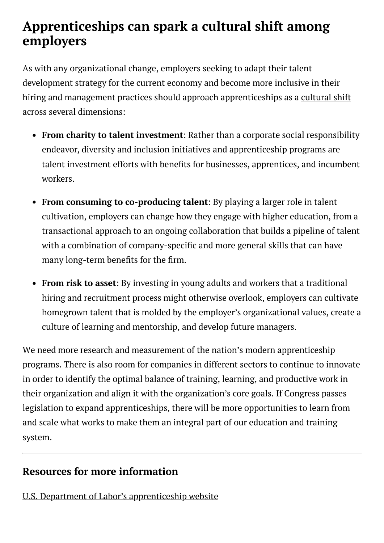# **Apprenticeships can spark a cultural shift among employers**

As with any organizational change, employers seeking to adapt their talent development strategy for the current economy and become more inclusive in their hiring and management practices should approach apprenticeships as a [cultural](https://cemets.ethz.ch/cemets-news/2018/01/entry-17--stigma-to-status-paradigm-shifts-toward-vet.html) shift across several dimensions:

- **From charity to talent investment**: Rather than a corporate social responsibility endeavor, diversity and inclusion initiatives and apprenticeship programs are talent investment efforts with benefits for businesses, apprentices, and incumbent workers.
- **From consuming to co-producing talent**: By playing a larger role in talent cultivation, employers can change how they engage with higher education, from a transactional approach to an ongoing collaboration that builds a pipeline of talent with a combination of company-specific and more general skills that can have many long-term benefits for the firm.
- **From risk to asset**: By investing in young adults and workers that a traditional hiring and recruitment process might otherwise overlook, employers can cultivate homegrown talent that is molded by the employer's organizational values, create a culture of learning and mentorship, and develop future managers.

We need more research and measurement of the nation's modern apprenticeship programs. There is also room for companies in different sectors to continue to innovate in order to identify the optimal balance of training, learning, and productive work in their organization and align it with the organization's core goals. If Congress passes legislation to expand apprenticeships, there will be more opportunities to learn from and scale what works to make them an integral part of our education and training system.

## **Resources for more information**

U.S. Department of Labor's [apprenticeship](https://www.apprenticeship.gov/career-seekers) website